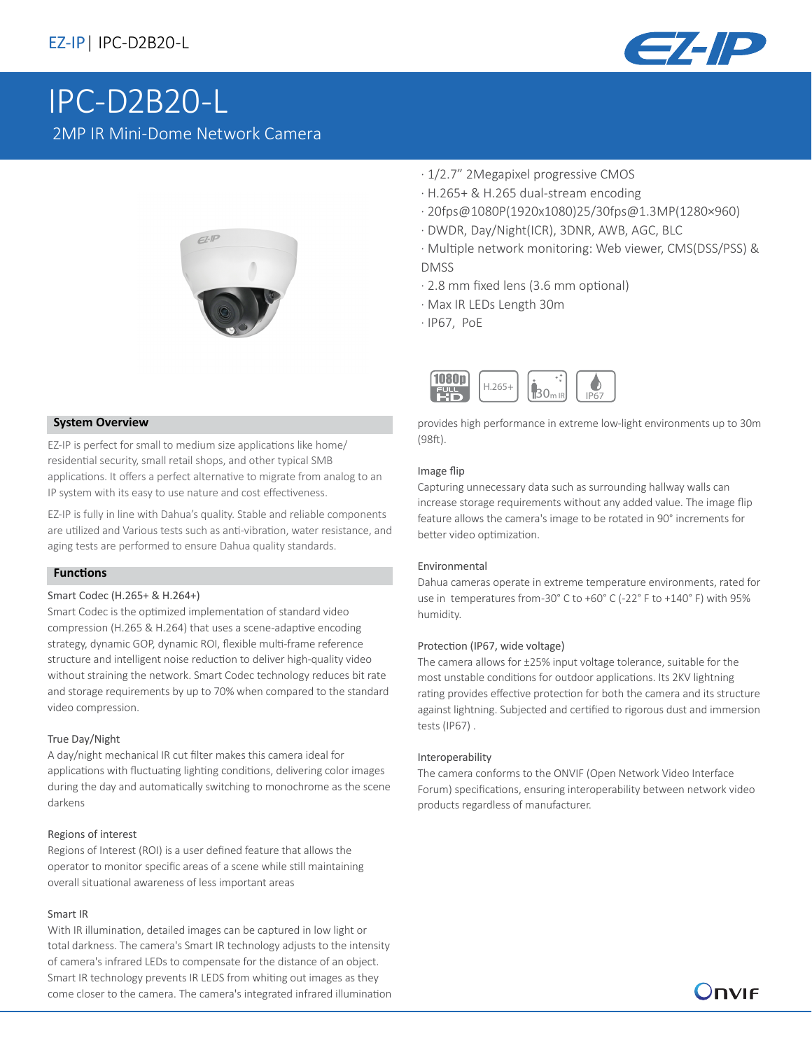

# IPC-D2B20-L 2MP IR Mini-Dome Network Camera



#### **System Overview**

EZ-IP is perfect for small to medium size applications like home/ residential security, small retail shops, and other typical SMB applications. It offers a perfect alternative to migrate from analog to an IP system with its easy to use nature and cost effectiveness.

EZ-IP is fully in line with Dahua's quality. Stable and reliable components are utilized and Various tests such as anti-vibration, water resistance, and aging tests are performed to ensure Dahua quality standards.

### **Functions**

#### Smart Codec (H.265+ & H.264+)

Smart Codec is the optimized implementation of standard video compression (H.265 & H.264) that uses a scene-adaptive encoding strategy, dynamic GOP, dynamic ROI, flexible multi-frame reference structure and intelligent noise reduction to deliver high-quality video without straining the network. Smart Codec technology reduces bit rate and storage requirements by up to 70% when compared to the standard video compression.

#### True Day/Night

A day/night mechanical IR cut filter makes this camera ideal for applications with fluctuating lighting conditions, delivering color images during the day and automatically switching to monochrome as the scene darkens

#### Regions of interest

Regions of Interest (ROI) is a user defined feature that allows the operator to monitor specific areas of a scene while still maintaining overall situational awareness of less important areas

#### Smart IR

With IR illumination, detailed images can be captured in low light or total darkness. The camera's Smart IR technology adjusts to the intensity of camera's infrared LEDs to compensate for the distance of an object. Smart IR technology prevents IR LEDS from whiting out images as they come closer to the camera. The camera's integrated infrared illumination

- · 1/2.7" 2Megapixel progressive CMOS
- · H.265+ & H.265 dual-stream encoding
- · 20fps@1080P(1920x1080)25/30fps@1.3MP(1280×960)
- · DWDR, Day/Night(ICR), 3DNR, AWB, AGC, BLC
- · Multiple network monitoring: Web viewer, CMS(DSS/PSS) & DMSS
- · 2.8 mm fixed lens (3.6 mm optional)
- · Max IR LEDs Length 30m
- · IP67, PoE



provides high performance in extreme low-light environments up to 30m (98ft).

#### Image flip

Capturing unnecessary data such as surrounding hallway walls can increase storage requirements without any added value. The image flip feature allows the camera's image to be rotated in 90° increments for better video optimization.

#### Environmental

Dahua cameras operate in extreme temperature environments, rated for use in temperatures from -30° C to +60° C (-22° F to +140° F) with 95% humidity.

#### Protection (IP67, wide voltage)

The camera allows for ±25% input voltage tolerance, suitable for the most unstable conditions for outdoor applications. Its 2KV lightning rating provides effective protection for both the camera and its structure against lightning. Subjected and certified to rigorous dust and immersion tests (IP67) .

#### Interoperability

The camera conforms to the ONVIF (Open Network Video Interface Forum) specifications, ensuring interoperability between network video products regardless of manufacturer.

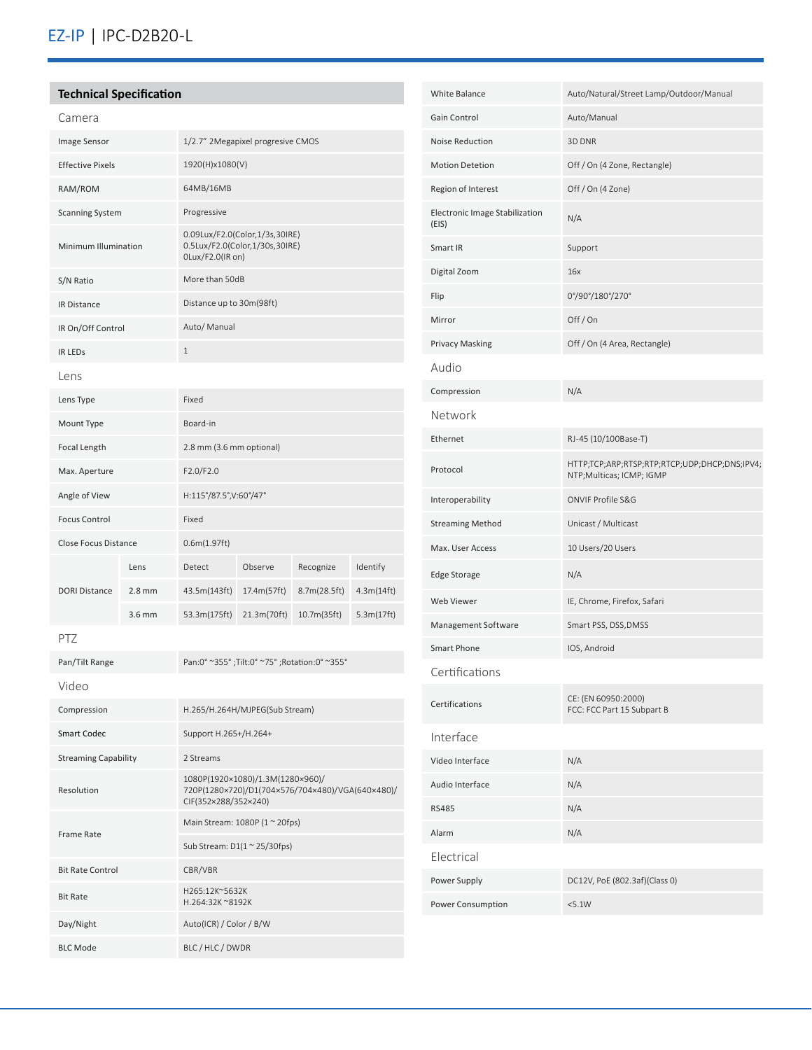# **Technical Specification**

| Camera                      |          |                                                                                      |             |              |            |
|-----------------------------|----------|--------------------------------------------------------------------------------------|-------------|--------------|------------|
| Image Sensor                |          | 1/2.7" 2Megapixel progresive CMOS                                                    |             |              |            |
| <b>Effective Pixels</b>     |          | 1920(H)x1080(V)                                                                      |             |              |            |
| RAM/ROM                     |          | 64MB/16MB                                                                            |             |              |            |
| <b>Scanning System</b>      |          | Progressive                                                                          |             |              |            |
| Minimum Illumination        |          | 0.09Lux/F2.0(Color,1/3s,30IRE)<br>0.5Lux/F2.0(Color,1/30s,30IRE)<br>OLux/F2.0(IR on) |             |              |            |
| S/N Ratio                   |          | More than 50dB                                                                       |             |              |            |
| <b>IR Distance</b>          |          | Distance up to 30m(98ft)                                                             |             |              |            |
| IR On/Off Control           |          | Auto/ Manual                                                                         |             |              |            |
| <b>IR LEDS</b>              |          | $\mathbf{1}$                                                                         |             |              |            |
| Lens                        |          |                                                                                      |             |              |            |
| Lens Type                   |          | Fixed                                                                                |             |              |            |
| Mount Type                  |          | Board-in                                                                             |             |              |            |
| Focal Length                |          | 2.8 mm (3.6 mm optional)                                                             |             |              |            |
| Max. Aperture               |          | F2.0/F2.0                                                                            |             |              |            |
| Angle of View               |          | H:115°/87.5°,V:60°/47°                                                               |             |              |            |
| <b>Focus Control</b>        |          | Fixed                                                                                |             |              |            |
| <b>Close Focus Distance</b> |          | 0.6m(1.97ft)                                                                         |             |              |            |
| <b>DORI Distance</b>        | Lens     | Detect                                                                               | Observe     | Recognize    | Identify   |
|                             | $2.8$ mm | 43.5m(143ft)                                                                         | 17.4m(57ft) | 8.7m(28.5ft) | 4.3m(14ft) |
|                             | 3.6 mm   | 53.3m(175ft)                                                                         | 21.3m(70ft) | 10.7m(35ft)  | 5.3m(17ft) |

| Pan/Tilt Range              | Pan:0° ~355°;Tilt:0° ~75°;Rotation:0° ~355°                                                                  |  |  |
|-----------------------------|--------------------------------------------------------------------------------------------------------------|--|--|
| Video                       |                                                                                                              |  |  |
| Compression                 | H.265/H.264H/MJPEG(Sub Stream)                                                                               |  |  |
| Smart Codec                 | Support H.265+/H.264+                                                                                        |  |  |
| <b>Streaming Capability</b> | 2 Streams                                                                                                    |  |  |
| Resolution                  | 1080P(1920×1080)/1.3M(1280×960)/<br>720P(1280×720)/D1(704×576/704×480)/VGA(640×480)/<br>CIF(352×288/352×240) |  |  |
| <b>Frame Rate</b>           | Main Stream: 1080P (1 ~ 20fps)                                                                               |  |  |
|                             | Sub Stream: $D1(1 \approx 25/30$ fps)                                                                        |  |  |
| <b>Bit Rate Control</b>     | CBR/VBR                                                                                                      |  |  |
| <b>Bit Rate</b>             | H265:12K~5632K<br>H.264:32K ~8192K                                                                           |  |  |
| Day/Night                   | Auto(ICR) / Color / B/W                                                                                      |  |  |
| <b>BLC Mode</b>             | BLC / HLC / DWDR                                                                                             |  |  |

| <b>White Balance</b>                    | Auto/Natural/Street Lamp/Outdoor/Manual                                   |  |  |  |  |
|-----------------------------------------|---------------------------------------------------------------------------|--|--|--|--|
| Gain Control                            | Auto/Manual                                                               |  |  |  |  |
| Noise Reduction                         | 3D DNR                                                                    |  |  |  |  |
| <b>Motion Detetion</b>                  | Off / On (4 Zone, Rectangle)                                              |  |  |  |  |
| Region of Interest                      | Off / On (4 Zone)                                                         |  |  |  |  |
| Electronic Image Stabilization<br>(EIS) | N/A                                                                       |  |  |  |  |
| Smart IR                                | Support                                                                   |  |  |  |  |
| Digital Zoom                            | 16x                                                                       |  |  |  |  |
| Flip                                    | 0°/90°/180°/270°                                                          |  |  |  |  |
| Mirror                                  | Off/On                                                                    |  |  |  |  |
| <b>Privacy Masking</b>                  | Off / On (4 Area, Rectangle)                                              |  |  |  |  |
| oibuA                                   |                                                                           |  |  |  |  |
| Compression                             | N/A                                                                       |  |  |  |  |
| Network                                 |                                                                           |  |  |  |  |
| Ethernet                                | RJ-45 (10/100Base-T)                                                      |  |  |  |  |
| Protocol                                | HTTP;TCP;ARP;RTSP;RTP;RTCP;UDP;DHCP;DNS;IPV4;<br>NTP;Multicas; ICMP; IGMP |  |  |  |  |
| Interoperability                        | ONVIF Profile S&G                                                         |  |  |  |  |
| <b>Streaming Method</b>                 | Unicast / Multicast                                                       |  |  |  |  |
| Max. User Access                        | 10 Users/20 Users                                                         |  |  |  |  |
| <b>Edge Storage</b>                     | N/A                                                                       |  |  |  |  |
| Web Viewer                              | IE, Chrome, Firefox, Safari                                               |  |  |  |  |
| Management Software                     | Smart PSS, DSS, DMSS                                                      |  |  |  |  |
| Smart Phone                             | IOS, Android                                                              |  |  |  |  |
| Certifications                          |                                                                           |  |  |  |  |
| Certifications                          | CE: (EN 60950:2000)<br>FCC: FCC Part 15 Subpart B                         |  |  |  |  |
| Interface                               |                                                                           |  |  |  |  |
| Video Interface                         | N/A                                                                       |  |  |  |  |
| Audio Interface                         | N/A                                                                       |  |  |  |  |
| <b>RS485</b>                            | N/A                                                                       |  |  |  |  |
| Alarm                                   | N/A                                                                       |  |  |  |  |
| Electrical                              |                                                                           |  |  |  |  |
| Power Supply                            | DC12V, PoE (802.3af)(Class 0)                                             |  |  |  |  |
| Power Consumption                       | <5.1W                                                                     |  |  |  |  |
|                                         |                                                                           |  |  |  |  |